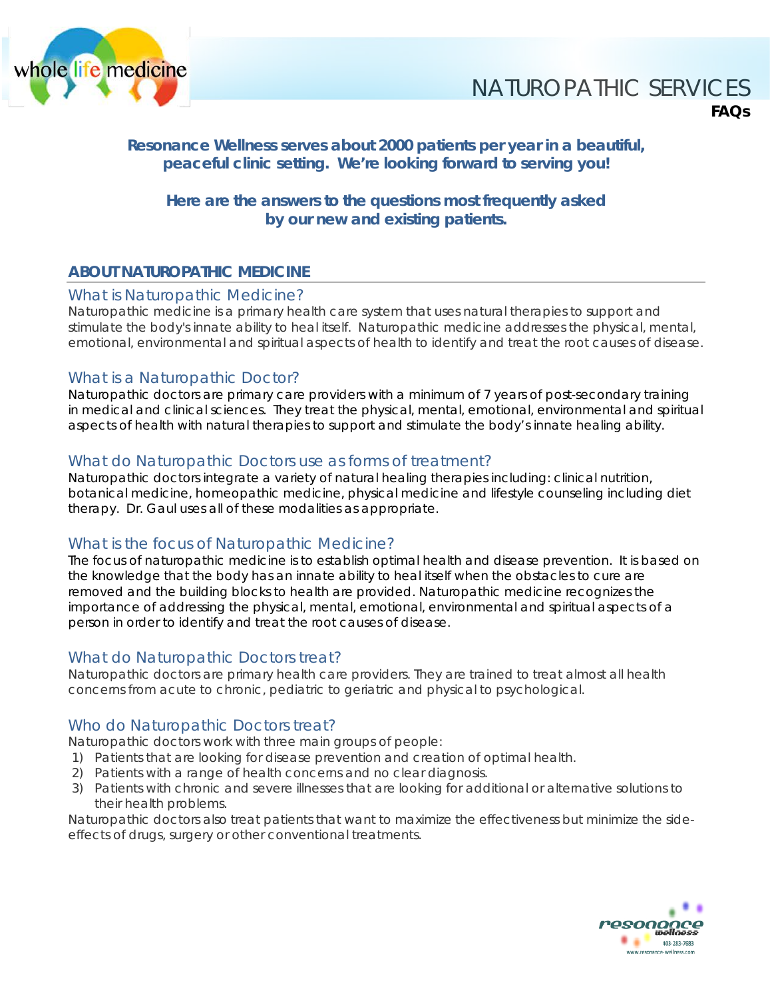

# NATUROPATHIC SERVICES **FAQs**

# **Resonance Wellness serves about 2000 patients per year in a beautiful, peaceful clinic setting. We're looking forward to serving you!**

# **Here are the answers to the questions most frequently asked by our new and existing patients.**

# **ABOUT NATUROPATHIC MEDICINE**

# What is Naturopathic Medicine?

Naturopathic medicine is a primary health care system that uses natural therapies to support and stimulate the body's innate ability to heal itself. Naturopathic medicine addresses the physical, mental, emotional, environmental and spiritual aspects of health to identify and treat the root causes of disease.

# What is a Naturopathic Doctor?

Naturopathic doctors are primary care providers with a minimum of 7 years of post-secondary training in medical and clinical sciences. They treat the physical, mental, emotional, environmental and spiritual aspects of health with natural therapies to support and stimulate the body's innate healing ability.

# What do Naturopathic Doctors use as forms of treatment?

Naturopathic doctors integrate a variety of natural healing therapies including: clinical nutrition, botanical medicine, homeopathic medicine, physical medicine and lifestyle counseling including diet therapy. Dr. Gaul uses all of these modalities as appropriate.

# What is the focus of Naturopathic Medicine?

The focus of naturopathic medicine is to establish optimal health and disease prevention. It is based on the knowledge that the body has an innate ability to heal itself when the obstacles to cure are removed and the building blocks to health are provided. Naturopathic medicine recognizes the importance of addressing the physical, mental, emotional, environmental and spiritual aspects of a person in order to identify and treat the root causes of disease.

# What do Naturopathic Doctors treat?

Naturopathic doctors are primary health care providers. They are trained to treat almost all health concerns from acute to chronic, pediatric to geriatric and physical to psychological.

# Who do Naturopathic Doctors treat?

Naturopathic doctors work with three main groups of people:

- 1) Patients that are looking for disease prevention and creation of optimal health.
- 2) Patients with a range of health concerns and no clear diagnosis.
- 3) Patients with chronic and severe illnesses that are looking for additional or alternative solutions to their health problems.

Naturopathic doctors also treat patients that want to maximize the effectiveness but minimize the sideeffects of drugs, surgery or other conventional treatments.

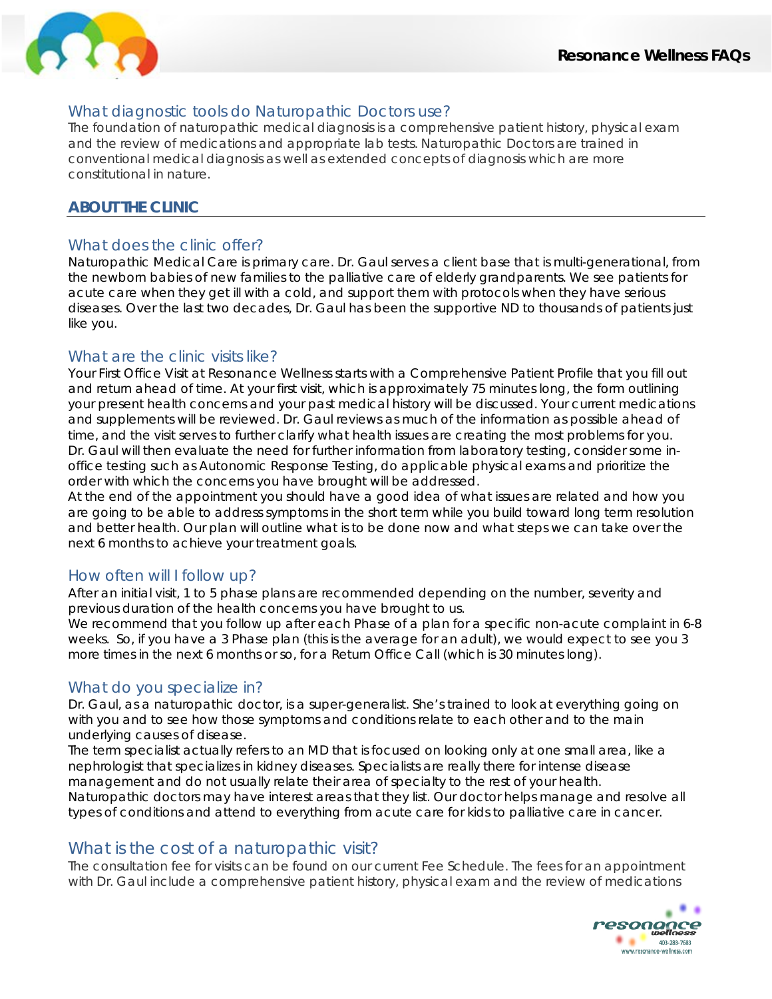

# What diagnostic tools do Naturopathic Doctors use?

The foundation of naturopathic medical diagnosis is a comprehensive patient history, physical exam and the review of medications and appropriate lab tests. Naturopathic Doctors are trained in conventional medical diagnosis as well as extended concepts of diagnosis which are more constitutional in nature.

# **ABOUT THE CLINIC**

# What does the clinic offer?

Naturopathic Medical Care is primary care. Dr. Gaul serves a client base that is multi-generational, from the newborn babies of new families to the palliative care of elderly grandparents. We see patients for acute care when they get ill with a cold, and support them with protocols when they have serious diseases. Over the last two decades, Dr. Gaul has been the supportive ND to thousands of patients just like you.

# What are the clinic visits like?

Your First Office Visit at Resonance Wellness starts with a *Comprehensive Patient Profile* that you fill out and return ahead of time. At your first visit, which is approximately 75 minutes long, the form outlining your present health concerns and your past medical history will be discussed. Your current medications and supplements will be reviewed. Dr. Gaul reviews as much of the information as possible ahead of time, and the visit serves to further clarify what health issues are creating the most problems for you. Dr. Gaul will then evaluate the need for further information from laboratory testing, consider some inoffice testing such as Autonomic Response Testing, do applicable physical exams and prioritize the order with which the concerns you have brought will be addressed.

At the end of the appointment you should have a good idea of what issues are related and how you are going to be able to address symptoms in the short term while you build toward long term resolution and better health. Our plan will outline what is to be done now and what steps we can take over the next 6 months to achieve your treatment goals.

# How often will I follow up?

After an initial visit, 1 to 5 phase plans are recommended depending on the number, severity and previous duration of the health concerns you have brought to us.

We recommend that you follow up after each Phase of a plan for a specific non-acute complaint in 6-8 weeks. So, if you have a 3 Phase plan (this is the average for an adult), we would expect to see you 3 more times in the next 6 months or so, for a Return Office Call (which is 30 minutes long).

# What do you specialize in?

Dr. Gaul, as a naturopathic doctor, is a super-generalist. She's trained to look at everything going on with you and to see how those symptoms and conditions relate to each other and to the main underlying causes of disease.

The term specialist actually refers to an MD that is focused on looking only at one small area, like a nephrologist that specializes in kidney diseases. Specialists are really there for intense disease management and do not usually relate their area of specialty to the rest of your health. Naturopathic doctors may have interest areas that they list. Our doctor helps manage and resolve all types of conditions and attend to everything from acute care for kids to palliative care in cancer.

# What is the cost of a naturopathic visit?

The consultation fee for visits can be found on our current Fee Schedule. The fees for an appointment with Dr. Gaul include a comprehensive patient history, physical exam and the review of medications

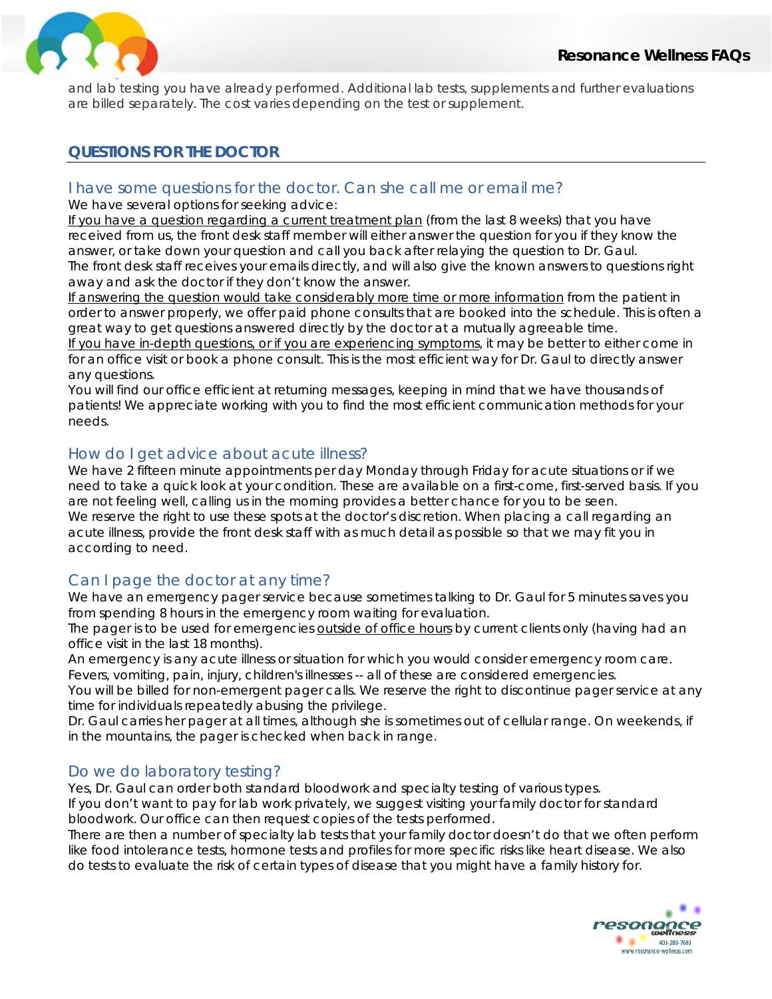

and lab testing you have already performed. Additional lab tests, supplements and further evaluations are billed separately. The cost varies depending on the test or supplement.

# **QUESTIONS FOR THE DOCTOR**

# I have some questions for the doctor. Can she call me or email me?

We have several options for seeking advice:

If you have a question regarding a current treatment plan (from the last 8 weeks) that you have received from us, the front desk staff member will either answer the question for you if they know the answer, or take down your question and call you back after relaying the question to Dr. Gaul. The front desk staff receives your emails directly, and will also give the known answers to questions right away and ask the doctor if they don't know the answer.

If answering the question would take considerably more time or more information from the patient in order to answer properly, we offer paid phone consults that are booked into the schedule. This is often a great way to get questions answered directly by the doctor at a mutually agreeable time.

If you have in-depth questions, or if you are experiencing symptoms, it may be better to either come in for an office visit or book a phone consult. This is the most efficient way for Dr. Gaul to directly answer any questions.

You will find our office efficient at returning messages, keeping in mind that we have thousands of patients! We appreciate working with you to find the most efficient communication methods for your needs.

# How do I get advice about acute illness?

We have 2 fifteen minute appointments per day Monday through Friday for acute situations or if we need to take a quick look at your condition. These are available on a first-come, first-served basis. If you are not feeling well, calling us in the morning provides a better chance for you to be seen. We reserve the right to use these spots at the doctor's discretion. When placing a call regarding an acute illness, provide the front desk staff with as much detail as possible so that we may fit you in according to need.

# Can I page the doctor at any time?

We have an emergency pager service because sometimes talking to Dr. Gaul for 5 minutes saves you from spending 8 hours in the emergency room waiting for evaluation.

The pager is to be used for emergencies outside of office hours by current clients only (having had an office visit in the last 18 months).

An emergency is any acute illness or situation for which you would consider emergency room care. Fevers, vomiting, pain, injury, children's illnesses -- all of these are considered emergencies.

You will be billed for non-emergent pager calls. We reserve the right to discontinue pager service at any time for individuals repeatedly abusing the privilege.

Dr. Gaul carries her pager at all times, although she is sometimes out of cellular range. On weekends, if in the mountains, the pager is checked when back in range.

# Do we do laboratory testing?

Yes, Dr. Gaul can order both standard bloodwork and specialty testing of various types.

If you don't want to pay for lab work privately, we suggest visiting your family doctor for standard bloodwork. Our office can then request copies of the tests performed.

There are then a number of specialty lab tests that your family doctor doesn't do that we often perform like food intolerance tests, hormone tests and profiles for more specific risks like heart disease. We also do tests to evaluate the risk of certain types of disease that you might have a family history for.

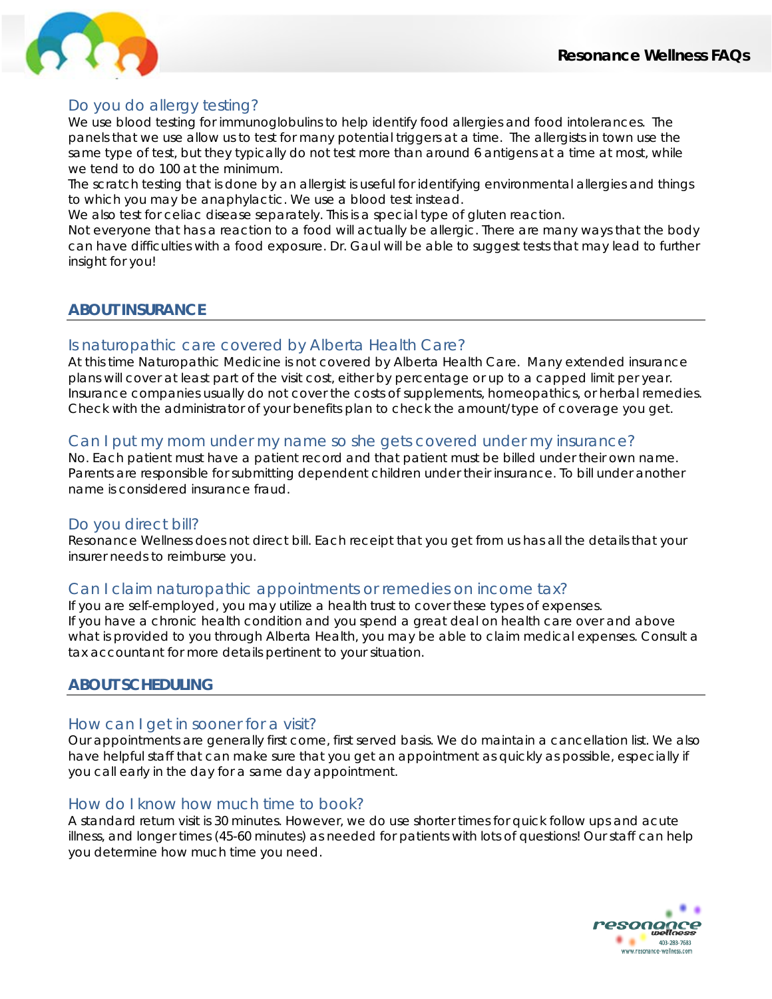

# Do you do allergy testing?

We use blood testing for immunoglobulins to help identify food allergies and food intolerances. The panels that we use allow us to test for many potential triggers at a time. The allergists in town use the same type of test, but they typically do not test more than around 6 antigens at a time at most, while we tend to do 100 at the minimum.

The scratch testing that is done by an allergist is useful for identifying environmental allergies and things to which you may be anaphylactic. We use a blood test instead.

We also test for celiac disease separately. This is a special type of gluten reaction.

Not everyone that has a reaction to a food will actually be allergic. There are many ways that the body can have difficulties with a food exposure. Dr. Gaul will be able to suggest tests that may lead to further insight for you!

# **ABOUT INSURANCE**

# Is naturopathic care covered by Alberta Health Care?

At this time Naturopathic Medicine is not covered by Alberta Health Care. Many extended insurance plans will cover at least part of the visit cost, either by percentage or up to a capped limit per year. Insurance companies usually do not cover the costs of supplements, homeopathics, or herbal remedies. Check with the administrator of your benefits plan to check the amount/type of coverage you get.

# Can I put my mom under my name so she gets covered under my insurance?

No. Each patient must have a patient record and that patient must be billed under their own name. Parents are responsible for submitting dependent children under their insurance. To bill under another name is considered insurance fraud.

# Do you direct bill?

Resonance Wellness does not direct bill. Each receipt that you get from us has all the details that your insurer needs to reimburse you.

# Can I claim naturopathic appointments or remedies on income tax?

If you are self-employed, you may utilize a health trust to cover these types of expenses. If you have a chronic health condition and you spend a great deal on health care over and above what is provided to you through Alberta Health, you may be able to claim medical expenses. Consult a tax accountant for more details pertinent to your situation.

# **ABOUT SCHEDULING**

# How can I get in sooner for a visit?

Our appointments are generally first come, first served basis. We do maintain a cancellation list. We also have helpful staff that can make sure that you get an appointment as quickly as possible, especially if you call early in the day for a same day appointment.

# How do I know how much time to book?

A standard return visit is 30 minutes. However, we do use shorter times for quick follow ups and acute illness, and longer times (45-60 minutes) as needed for patients with lots of questions! Our staff can help you determine how much time you need.